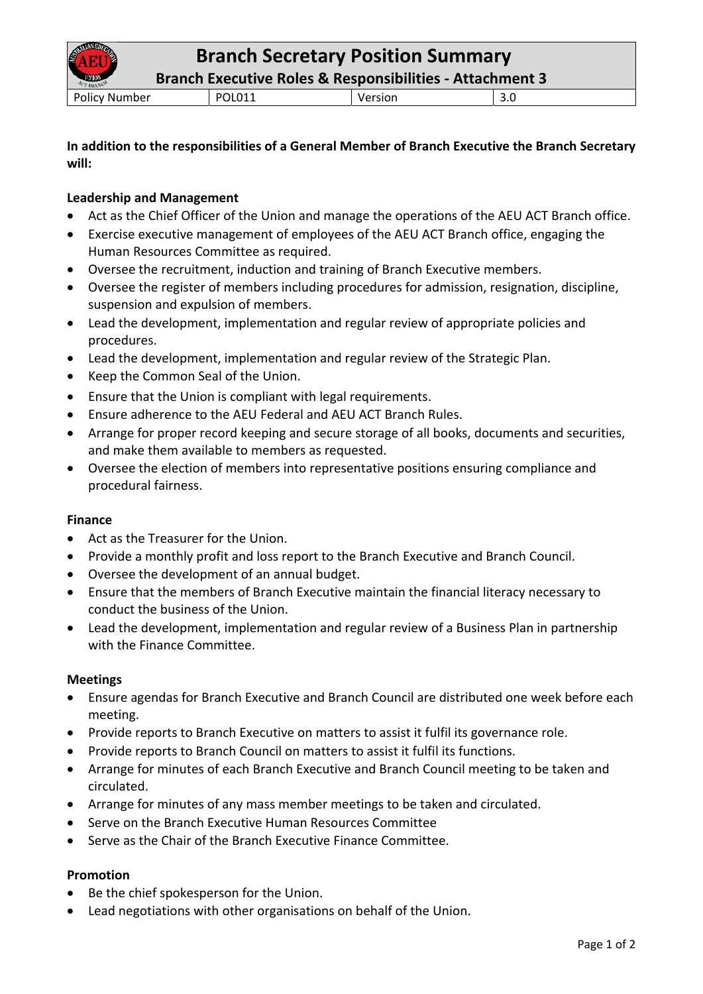**Branch Executive Roles & Responsibilities ‐ Attachment 3**

Policy Number POL011 Version 3.0

# **In addition to the responsibilities of a General Member of Branch Executive the Branch Secretary will:**

# **Leadership and Management**

- Act as the Chief Officer of the Union and manage the operations of the AEU ACT Branch office.
- Exercise executive management of employees of the AEU ACT Branch office, engaging the Human Resources Committee as required.
- Oversee the recruitment, induction and training of Branch Executive members.
- Oversee the register of members including procedures for admission, resignation, discipline, suspension and expulsion of members.
- Lead the development, implementation and regular review of appropriate policies and procedures.
- Lead the development, implementation and regular review of the Strategic Plan.
- Keep the Common Seal of the Union.
- Ensure that the Union is compliant with legal requirements.
- Ensure adherence to the AEU Federal and AEU ACT Branch Rules.
- Arrange for proper record keeping and secure storage of all books, documents and securities, and make them available to members as requested.
- Oversee the election of members into representative positions ensuring compliance and procedural fairness.

### **Finance**

- Act as the Treasurer for the Union.
- Provide a monthly profit and loss report to the Branch Executive and Branch Council.
- Oversee the development of an annual budget.
- Ensure that the members of Branch Executive maintain the financial literacy necessary to conduct the business of the Union.
- Lead the development, implementation and regular review of a Business Plan in partnership with the Finance Committee.

## **Meetings**

- Ensure agendas for Branch Executive and Branch Council are distributed one week before each meeting.
- Provide reports to Branch Executive on matters to assist it fulfil its governance role.
- Provide reports to Branch Council on matters to assist it fulfil its functions.
- Arrange for minutes of each Branch Executive and Branch Council meeting to be taken and circulated.
- Arrange for minutes of any mass member meetings to be taken and circulated.
- Serve on the Branch Executive Human Resources Committee
- Serve as the Chair of the Branch Executive Finance Committee.

## **Promotion**

- Be the chief spokesperson for the Union.
- Lead negotiations with other organisations on behalf of the Union.